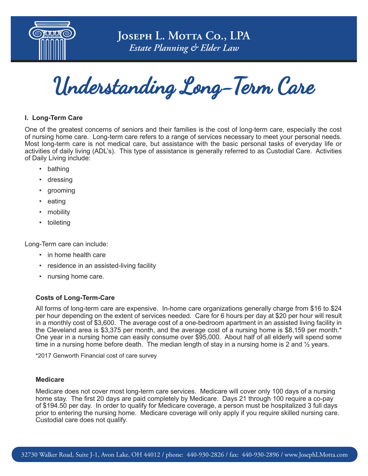

**JOSEPH L. MOTTA Co., LPA** *Estate Planning & Elder Law*

Understanding Long-Term Care

## **I. Long-Term Care**

One of the greatest concerns of seniors and their families is the cost of long-term care, especially the cost of nursing home care. Long-term care refers to a range of services necessary to meet your personal needs. Most long-term care is not medical care, but assistance with the basic personal tasks of everyday life or activities of daily living (ADL's). This type of assistance is generally referred to as Custodial Care. Activities of Daily Living include:

- bathing
- dressing
- grooming
- eating
- mobility
- toileting

Long-Term care can include:

- in home health care
- residence in an assisted-living facility
- nursing home care.

#### **Costs of Long-Term-Care**

All forms of long-term care are expensive. In-home care organizations generally charge from \$16 to \$24 per hour depending on the extent of services needed. Care for 6 hours per day at \$20 per hour will result in a monthly cost of \$3,600. The average cost of a one-bedroom apartment in an assisted living facility in the Cleveland area is \$3,375 per month, and the average cost of a nursing home is \$8,159 per month.\* One year in a nursing home can easily consume over \$95,000. About half of all elderly will spend some time in a nursing home before death. The median length of stay in a nursing home is 2 and  $\frac{1}{2}$  years.

\*2017 Genworth Financial cost of care survey

#### **Medicare**

Medicare does not cover most long-term care services. Medicare will cover only 100 days of a nursing home stay. The first 20 days are paid completely by Medicare. Days 21 through 100 require a co-pay of \$194.50 per day. In order to qualify for Medicare coverage, a person must be hospitalized 3 full days prior to entering the nursing home. Medicare coverage will only apply if you require skilled nursing care. Custodial care does not qualify.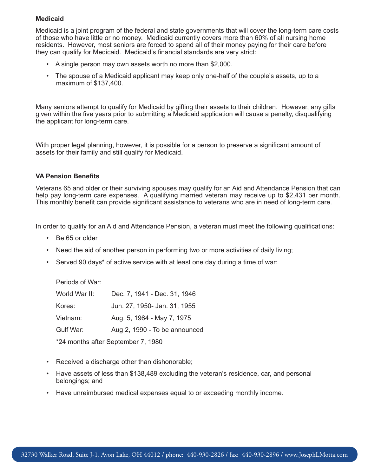## **Medicaid**

Medicaid is a joint program of the federal and state governments that will cover the long-term care costs of those who have little or no money. Medicaid currently covers more than 60% of all nursing home residents. However, most seniors are forced to spend all of their money paying for their care before they can qualify for Medicaid. Medicaid's financial standards are very strict:

- A single person may own assets worth no more than \$2,000.
- The spouse of a Medicaid applicant may keep only one-half of the couple's assets, up to a maximum of \$137,400.

Many seniors attempt to qualify for Medicaid by gifting their assets to their children. However, any gifts given within the five years prior to submitting a Medicaid application will cause a penalty, disqualifying the applicant for long-term care.

With proper legal planning, however, it is possible for a person to preserve a significant amount of assets for their family and still qualify for Medicaid.

## **VA Pension Benefits**

Veterans 65 and older or their surviving spouses may qualify for an Aid and Attendance Pension that can help pay long-term care expenses. A qualifying married veteran may receive up to \$2,431 per month. This monthly benefit can provide significant assistance to veterans who are in need of long-term care.

In order to qualify for an Aid and Attendance Pension, a veteran must meet the following qualifications:

- Be 65 or older
- Need the aid of another person in performing two or more activities of daily living;
- Served 90 days\* of active service with at least one day during a time of war:

Periods of War:

| World War II:                      | Dec. 7, 1941 - Dec. 31, 1946  |
|------------------------------------|-------------------------------|
| Korea:                             | Jun. 27, 1950- Jan. 31, 1955  |
| Vietnam:                           | Aug. 5, 1964 - May 7, 1975    |
| Gulf War:                          | Aug 2, 1990 - To be announced |
| *24 months after September 7, 1980 |                               |

- Received a discharge other than dishonorable;
- Have assets of less than \$138,489 excluding the veteran's residence, car, and personal belongings; and
- Have unreimbursed medical expenses equal to or exceeding monthly income.